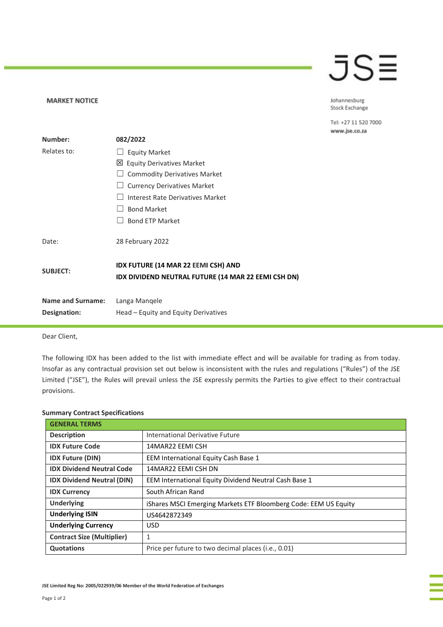## JSE

Johannesburg Stock Exchange

Tel: +27 11 520 7000 www.jse.co.za

| Number:                  | 082/2022                                                                                   |
|--------------------------|--------------------------------------------------------------------------------------------|
| Relates to:              | <b>Equity Market</b>                                                                       |
|                          | <b>Equity Derivatives Market</b><br>⊠                                                      |
|                          | <b>Commodity Derivatives Market</b>                                                        |
|                          | <b>Currency Derivatives Market</b>                                                         |
|                          | Interest Rate Derivatives Market                                                           |
|                          | <b>Bond Market</b>                                                                         |
|                          | <b>Bond ETP Market</b>                                                                     |
| Date:                    | 28 February 2022                                                                           |
| <b>SUBJECT:</b>          | IDX FUTURE (14 MAR 22 EEMI CSH) AND<br>IDX DIVIDEND NEUTRAL FUTURE (14 MAR 22 EEMI CSH DN) |
| <b>Name and Surname:</b> | Langa Mangele                                                                              |
| Designation:             | Head – Equity and Equity Derivatives                                                       |

Dear Client,

**MARKET NOTICE** 

The following IDX has been added to the list with immediate effect and will be available for trading as from today. Insofar as any contractual provision set out below is inconsistent with the rules and regulations ("Rules") of the JSE Limited ("JSE"), the Rules will prevail unless the JSE expressly permits the Parties to give effect to their contractual provisions.

| <b>GENERAL TERMS</b>              |                                                                 |
|-----------------------------------|-----------------------------------------------------------------|
| <b>Description</b>                | International Derivative Future                                 |
| <b>IDX Future Code</b>            | 14MAR22 EEMI CSH                                                |
| <b>IDX Future (DIN)</b>           | EEM International Equity Cash Base 1                            |
| <b>IDX Dividend Neutral Code</b>  | 14MAR22 EEMI CSH DN                                             |
| <b>IDX Dividend Neutral (DIN)</b> | EEM International Equity Dividend Neutral Cash Base 1           |
| <b>IDX Currency</b>               | South African Rand                                              |
| <b>Underlying</b>                 | iShares MSCI Emerging Markets ETF Bloomberg Code: EEM US Equity |
| <b>Underlying ISIN</b>            | US4642872349                                                    |
| <b>Underlying Currency</b>        | <b>USD</b>                                                      |
| <b>Contract Size (Multiplier)</b> | 1                                                               |
| <b>Quotations</b>                 | Price per future to two decimal places ( <i>i.e.</i> , 0.01)    |

## **Summary Contract Specifications**